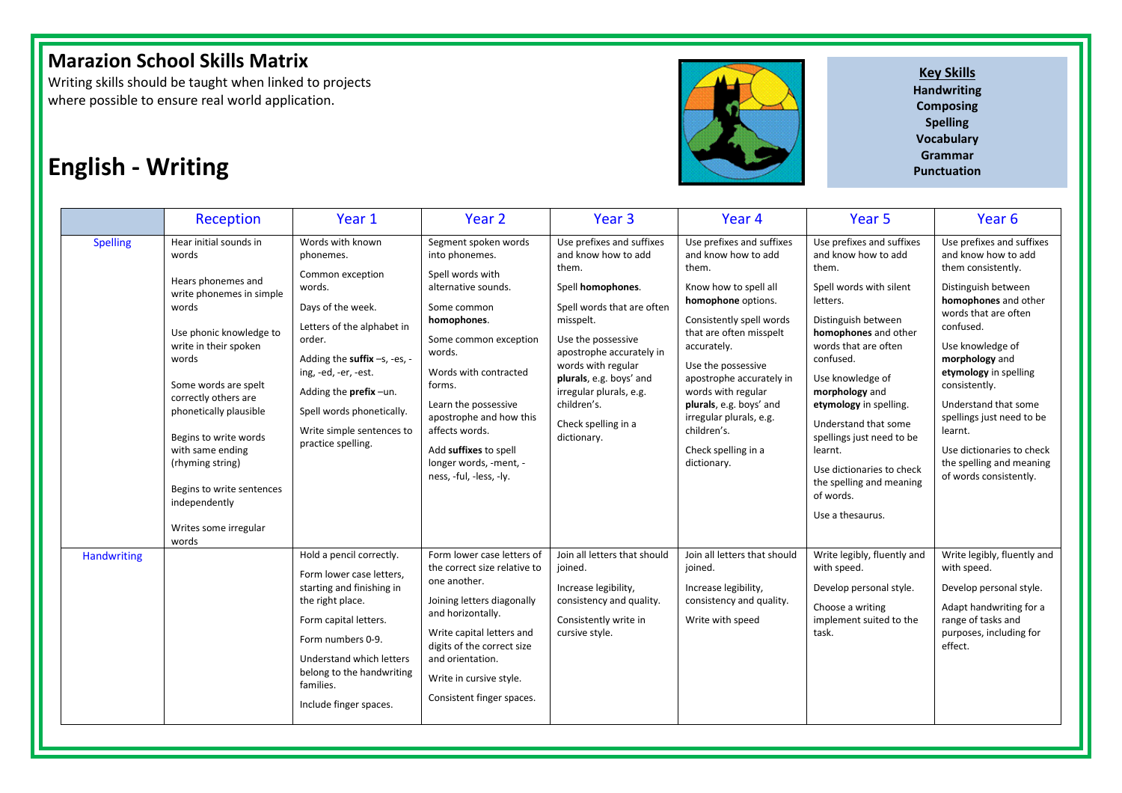Writing skills should be taught when linked to projects where possible to ensure real world application.



**Key Skills Handwriting Composing Spelling Vocabulary**

# **English - Writing Punctuation**

|                 | Reception                                                                                                                                                                                                                                                                                                                              | Year 1                                                                                                                                                                                                                                              | Year <sub>2</sub>                                                                                                                                                                                                                                                          | Year <sub>3</sub>                                                                                                                                                                                                                               | Year <sub>4</sub>                                                                                                                                                                                                                                                                                    | Year 5                                                                                                                                                                                                                                                                                                                                            | Year 6                                                                                                                                                                                                                                                                                                              |
|-----------------|----------------------------------------------------------------------------------------------------------------------------------------------------------------------------------------------------------------------------------------------------------------------------------------------------------------------------------------|-----------------------------------------------------------------------------------------------------------------------------------------------------------------------------------------------------------------------------------------------------|----------------------------------------------------------------------------------------------------------------------------------------------------------------------------------------------------------------------------------------------------------------------------|-------------------------------------------------------------------------------------------------------------------------------------------------------------------------------------------------------------------------------------------------|------------------------------------------------------------------------------------------------------------------------------------------------------------------------------------------------------------------------------------------------------------------------------------------------------|---------------------------------------------------------------------------------------------------------------------------------------------------------------------------------------------------------------------------------------------------------------------------------------------------------------------------------------------------|---------------------------------------------------------------------------------------------------------------------------------------------------------------------------------------------------------------------------------------------------------------------------------------------------------------------|
| <b>Spelling</b> | Hear initial sounds in<br>words                                                                                                                                                                                                                                                                                                        | Words with known<br>phonemes.<br>Common exception                                                                                                                                                                                                   | Segment spoken words<br>into phonemes.<br>Spell words with                                                                                                                                                                                                                 | Use prefixes and suffixes<br>and know how to add<br>them.                                                                                                                                                                                       | Use prefixes and suffixes<br>and know how to add<br>them.                                                                                                                                                                                                                                            | Use prefixes and suffixes<br>and know how to add<br>them.                                                                                                                                                                                                                                                                                         | Use prefixes and suffixes<br>and know how to add<br>them consistently.                                                                                                                                                                                                                                              |
|                 | Hears phonemes and<br>write phonemes in simple<br>words<br>Use phonic knowledge to<br>write in their spoken<br>words<br>Some words are spelt<br>correctly others are<br>phonetically plausible<br>Begins to write words<br>with same ending<br>(rhyming string)<br>Begins to write sentences<br>independently<br>Writes some irregular | words.<br>Days of the week.<br>Letters of the alphabet in<br>order.<br>Adding the suffix -s, -es, -<br>ing, -ed, -er, -est.<br>Adding the prefix-un.<br>Spell words phonetically.<br>Write simple sentences to<br>practice spelling.                | alternative sounds.<br>Some common<br>homophones.<br>Some common exception<br>words.<br>Words with contracted<br>forms.<br>Learn the possessive<br>apostrophe and how this<br>affects words.<br>Add suffixes to spell<br>longer words, -ment, -<br>ness, -ful, -less, -ly. | Spell homophones.<br>Spell words that are often<br>misspelt.<br>Use the possessive<br>apostrophe accurately in<br>words with regular<br>plurals, e.g. boys' and<br>irregular plurals, e.g.<br>children's.<br>Check spelling in a<br>dictionary. | Know how to spell all<br>homophone options.<br>Consistently spell words<br>that are often misspelt<br>accurately.<br>Use the possessive<br>apostrophe accurately in<br>words with regular<br>plurals, e.g. boys' and<br>irregular plurals, e.g.<br>children's.<br>Check spelling in a<br>dictionary. | Spell words with silent<br>letters.<br>Distinguish between<br>homophones and other<br>words that are often<br>confused.<br>Use knowledge of<br>morphology and<br>etymology in spelling.<br>Understand that some<br>spellings just need to be<br>learnt.<br>Use dictionaries to check<br>the spelling and meaning<br>of words.<br>Use a thesaurus. | Distinguish between<br>homophones and other<br>words that are often<br>confused.<br>Use knowledge of<br>morphology and<br>etymology in spelling<br>consistently.<br>Understand that some<br>spellings just need to be<br>learnt.<br>Use dictionaries to check<br>the spelling and meaning<br>of words consistently. |
| Handwriting     | words                                                                                                                                                                                                                                                                                                                                  | Hold a pencil correctly.<br>Form lower case letters,<br>starting and finishing in<br>the right place.<br>Form capital letters.<br>Form numbers 0-9.<br>Understand which letters<br>belong to the handwriting<br>families.<br>Include finger spaces. | Form lower case letters of<br>the correct size relative to<br>one another.<br>Joining letters diagonally<br>and horizontally.<br>Write capital letters and<br>digits of the correct size<br>and orientation.<br>Write in cursive style.<br>Consistent finger spaces.       | Join all letters that should<br>joined.<br>Increase legibility,<br>consistency and quality.<br>Consistently write in<br>cursive style.                                                                                                          | Join all letters that should<br>joined.<br>Increase legibility,<br>consistency and quality.<br>Write with speed                                                                                                                                                                                      | Write legibly, fluently and<br>with speed.<br>Develop personal style.<br>Choose a writing<br>implement suited to the<br>task.                                                                                                                                                                                                                     | Write legibly, fluently and<br>with speed.<br>Develop personal style.<br>Adapt handwriting for a<br>range of tasks and<br>purposes, including for<br>effect.                                                                                                                                                        |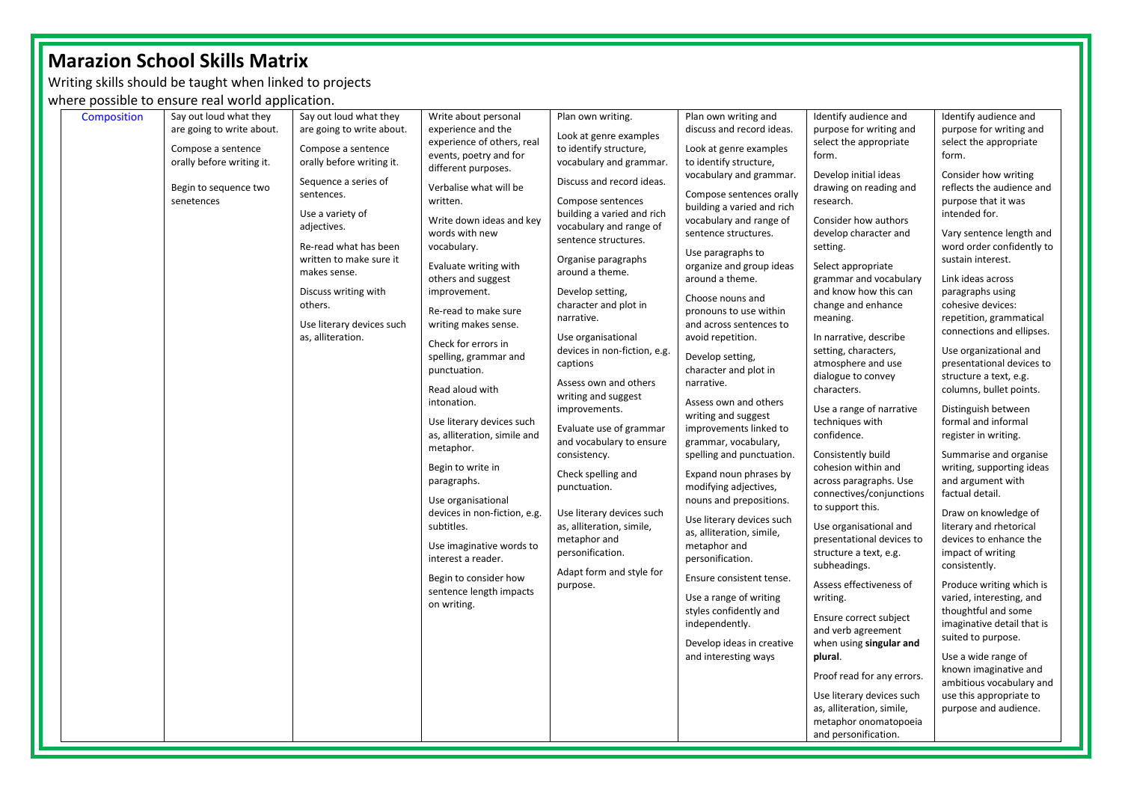Writing skills should be taught when linked to projects

where possible to ensure real world application.

| Composition | Say out loud what they<br>are going to write about.<br>Compose a sentence<br>orally before writing it.<br>Begin to sequence two<br>senetences | Say out loud what they<br>are going to write about.<br>Compose a sentence<br>orally before writing it.<br>Sequence a series of<br>sentences.<br>Use a variety of<br>adjectives.<br>Re-read what has been<br>written to make sure it<br>makes sense.<br>Discuss writing with<br>others.<br>Use literary devices such<br>as, alliteration. | Write about personal<br>experience and the<br>experience of others, real<br>events, poetry and for<br>different purposes.<br>Verbalise what will be<br>written.<br>Write down ideas and key<br>words with new<br>vocabulary.<br>Evaluate writing with<br>others and suggest<br>improvement.<br>Re-read to make sure<br>writing makes sense.<br>Check for errors in<br>spelling, grammar and<br>punctuation.<br>Read aloud with<br>intonation.<br>Use literary devices such<br>as, alliteration, simile and<br>metaphor.<br>Begin to write in<br>paragraphs. | Plan own writing.<br>Look at genre examples<br>to identify structure,<br>vocabulary and grammar.<br>Discuss and record ideas.<br>Compose sentences<br>building a varied and rich<br>vocabulary and range of<br>sentence structures.<br>Organise paragraphs<br>around a theme.<br>Develop setting,<br>character and plot in<br>narrative.<br>Use organisational<br>devices in non-fiction, e.g.<br>captions<br>Assess own and others<br>writing and suggest<br>improvements.<br>Evaluate use of grammar<br>and vocabulary to ensure<br>consistency.<br>Check spelling and | Plan own writing and<br>discuss and record ideas.<br>Look at genre examples<br>to identify structure,<br>vocabulary and grammar.<br>Compose sentences orally<br>building a varied and rich<br>vocabulary and range of<br>sentence structures.<br>Use paragraphs to<br>organize and group ideas<br>around a theme.<br>Choose nouns and<br>pronouns to use within<br>and across sentences to<br>avoid repetition.<br>Develop setting,<br>character and plot in<br>narrative.<br>Assess own and others<br>writing and suggest<br>improvements linked to<br>grammar, vocabulary,<br>spelling and punctuation.<br>Expand noun phrases by | Identify audience and<br>purpose for writing and<br>select the appropriate<br>form.<br>Develop initial ideas<br>drawing on reading and<br>research.<br>Consider how authors<br>develop character and<br>setting.<br>Select appropriate<br>grammar and vocabulary<br>and know how this can<br>change and enhance<br>meaning.<br>In narrative, describe<br>setting, characters,<br>atmosphere and use<br>dialogue to convey<br>characters.<br>Use a range of narrative<br>techniques with<br>confidence.<br>Consistently build<br>cohesion within and<br>across paragraphs. Use | Identify audience and<br>purpose for writing and<br>select the appropriate<br>form.<br>Consider how writing<br>reflects the audience and<br>purpose that it was<br>intended for.<br>Vary sentence length and<br>word order confidently to<br>sustain interest.<br>Link ideas across<br>paragraphs using<br>cohesive devices:<br>repetition, grammatical<br>connections and ellipses.<br>Use organizational and<br>presentational devices to<br>structure a text, e.g.<br>columns, bullet points.<br>Distinguish between<br>formal and informal<br>register in writing.<br>Summarise and organise<br>writing, supporting ideas<br>and argument with |  |
|-------------|-----------------------------------------------------------------------------------------------------------------------------------------------|------------------------------------------------------------------------------------------------------------------------------------------------------------------------------------------------------------------------------------------------------------------------------------------------------------------------------------------|-------------------------------------------------------------------------------------------------------------------------------------------------------------------------------------------------------------------------------------------------------------------------------------------------------------------------------------------------------------------------------------------------------------------------------------------------------------------------------------------------------------------------------------------------------------|--------------------------------------------------------------------------------------------------------------------------------------------------------------------------------------------------------------------------------------------------------------------------------------------------------------------------------------------------------------------------------------------------------------------------------------------------------------------------------------------------------------------------------------------------------------------------|-------------------------------------------------------------------------------------------------------------------------------------------------------------------------------------------------------------------------------------------------------------------------------------------------------------------------------------------------------------------------------------------------------------------------------------------------------------------------------------------------------------------------------------------------------------------------------------------------------------------------------------|-------------------------------------------------------------------------------------------------------------------------------------------------------------------------------------------------------------------------------------------------------------------------------------------------------------------------------------------------------------------------------------------------------------------------------------------------------------------------------------------------------------------------------------------------------------------------------|----------------------------------------------------------------------------------------------------------------------------------------------------------------------------------------------------------------------------------------------------------------------------------------------------------------------------------------------------------------------------------------------------------------------------------------------------------------------------------------------------------------------------------------------------------------------------------------------------------------------------------------------------|--|
|             |                                                                                                                                               |                                                                                                                                                                                                                                                                                                                                          | Use organisational<br>devices in non-fiction, e.g.<br>subtitles.<br>Use imaginative words to<br>interest a reader.<br>Begin to consider how<br>sentence length impacts<br>on writing.                                                                                                                                                                                                                                                                                                                                                                       | punctuation.<br>Use literary devices such<br>as, alliteration, simile,<br>metaphor and<br>personification.<br>Adapt form and style for<br>purpose.                                                                                                                                                                                                                                                                                                                                                                                                                       | modifying adjectives,<br>nouns and prepositions.<br>Use literary devices such<br>as, alliteration, simile,<br>metaphor and<br>personification.<br>Ensure consistent tense.<br>Use a range of writing<br>styles confidently and<br>independently.<br>Develop ideas in creative<br>and interesting ways                                                                                                                                                                                                                                                                                                                               | connectives/conjunctions<br>to support this.<br>Use organisational and<br>presentational devices to<br>structure a text, e.g.<br>subheadings.<br>Assess effectiveness of<br>writing.<br>Ensure correct subject<br>and verb agreement<br>when using singular and<br>plural.<br>Proof read for any errors.                                                                                                                                                                                                                                                                      | factual detail.<br>Draw on knowledge of<br>literary and rhetorical<br>devices to enhance the<br>impact of writing<br>consistently.<br>Produce writing which is<br>varied, interesting, and<br>thoughtful and some<br>imaginative detail that is<br>suited to purpose.<br>Use a wide range of<br>known imaginative and<br>ambitious vocabulary and                                                                                                                                                                                                                                                                                                  |  |
|             |                                                                                                                                               |                                                                                                                                                                                                                                                                                                                                          |                                                                                                                                                                                                                                                                                                                                                                                                                                                                                                                                                             |                                                                                                                                                                                                                                                                                                                                                                                                                                                                                                                                                                          |                                                                                                                                                                                                                                                                                                                                                                                                                                                                                                                                                                                                                                     | Use literary devices such<br>as, alliteration, simile,<br>metaphor onomatopoeia<br>and personification.                                                                                                                                                                                                                                                                                                                                                                                                                                                                       | use this appropriate to<br>purpose and audience.                                                                                                                                                                                                                                                                                                                                                                                                                                                                                                                                                                                                   |  |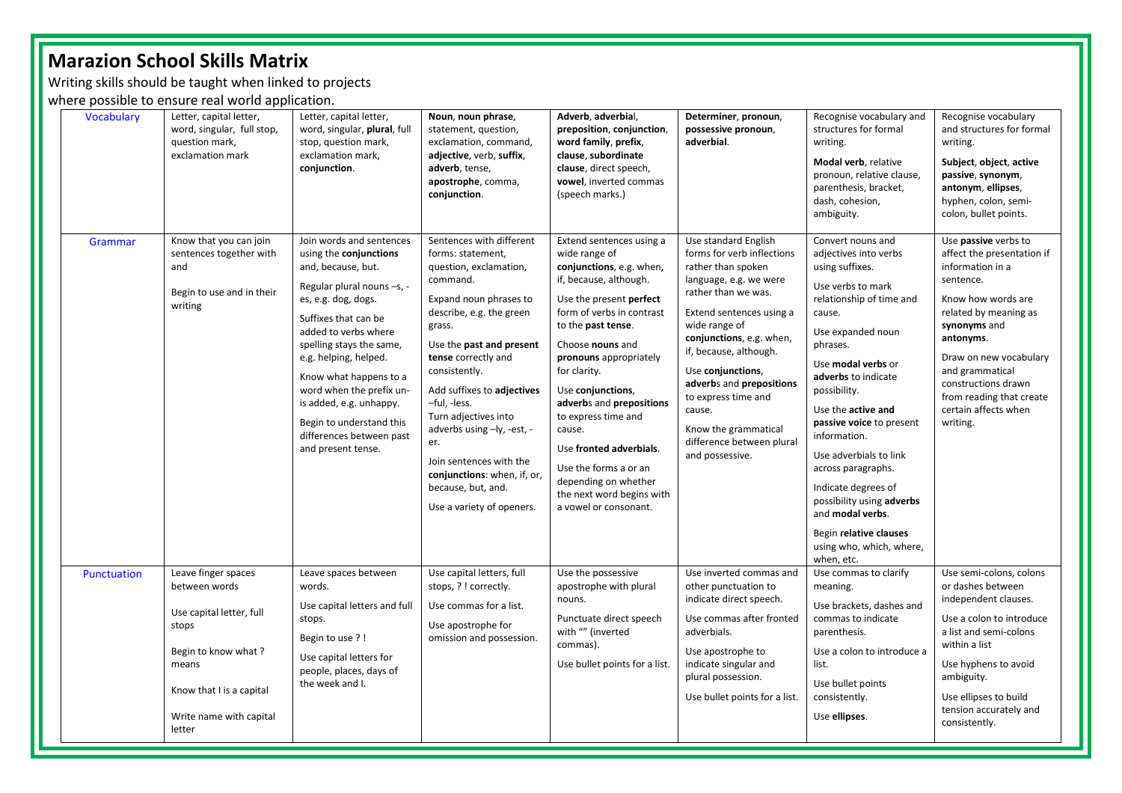Writing skills should be taught when linked to projects

where possible to ensure real world application.

| <b>Vocabulary</b> | Letter, capital letter,<br>word, singular, full stop,<br>question mark,<br>exclamation mark                                                                                | Letter, capital letter,<br>word, singular, plural, full<br>stop, question mark,<br>exclamation mark,<br>conjunction.                                                                                                                                                                                                                                                                              | Noun, noun phrase,<br>statement, question,<br>exclamation, command,<br>adjective, verb, suffix,<br>adverb, tense,<br>apostrophe, comma,<br>conjunction.                                                                                                                                                                                                                                                                                         | Adverb, adverbial,<br>preposition, conjunction,<br>word family, prefix,<br>clause, subordinate<br>clause, direct speech,<br>vowel, inverted commas<br>(speech marks.)                                                                                                                                                                                                                                                                                           | Determiner, pronoun,<br>possessive pronoun,<br>adverbial.                                                                                                                                                                                                                                                                                                                              | Recognise vocabulary and<br>structures for formal<br>writing.<br>Modal verb, relative<br>pronoun, relative clause,<br>parenthesis, bracket,<br>dash, cohesion,<br>ambiguity.                                                                                                                                                                                                                                                                                                         | Recognise vocabulary<br>and structures for formal<br>writing.<br>Subject, object, active<br>passive, synonym,<br>antonym, ellipses,<br>hyphen, colon, semi-<br>colon, bullet points.                                                                                                                |
|-------------------|----------------------------------------------------------------------------------------------------------------------------------------------------------------------------|---------------------------------------------------------------------------------------------------------------------------------------------------------------------------------------------------------------------------------------------------------------------------------------------------------------------------------------------------------------------------------------------------|-------------------------------------------------------------------------------------------------------------------------------------------------------------------------------------------------------------------------------------------------------------------------------------------------------------------------------------------------------------------------------------------------------------------------------------------------|-----------------------------------------------------------------------------------------------------------------------------------------------------------------------------------------------------------------------------------------------------------------------------------------------------------------------------------------------------------------------------------------------------------------------------------------------------------------|----------------------------------------------------------------------------------------------------------------------------------------------------------------------------------------------------------------------------------------------------------------------------------------------------------------------------------------------------------------------------------------|--------------------------------------------------------------------------------------------------------------------------------------------------------------------------------------------------------------------------------------------------------------------------------------------------------------------------------------------------------------------------------------------------------------------------------------------------------------------------------------|-----------------------------------------------------------------------------------------------------------------------------------------------------------------------------------------------------------------------------------------------------------------------------------------------------|
| Grammar           | Know that you can join<br>sentences together with<br>and<br>Begin to use and in their<br>writing                                                                           | Join words and sentences<br>using the conjunctions<br>and, because, but.<br>Regular plural nouns -s, -<br>es, e.g. dog, dogs.<br>Suffixes that can be<br>added to verbs where<br>spelling stays the same,<br>e.g. helping, helped.<br>Know what happens to a<br>word when the prefix un-<br>is added, e.g. unhappy.<br>Begin to understand this<br>differences between past<br>and present tense. | Sentences with different<br>forms: statement,<br>question, exclamation,<br>command.<br>Expand noun phrases to<br>describe, e.g. the green<br>grass.<br>Use the past and present<br>tense correctly and<br>consistently.<br>Add suffixes to adjectives<br>-ful, -less.<br>Turn adjectives into<br>adverbs using -ly, -est, -<br>er.<br>Join sentences with the<br>conjunctions: when, if, or,<br>because, but, and.<br>Use a variety of openers. | Extend sentences using a<br>wide range of<br>conjunctions, e.g. when,<br>if, because, although.<br>Use the present perfect<br>form of verbs in contrast<br>to the past tense.<br>Choose nouns and<br>pronouns appropriately<br>for clarity.<br>Use conjunctions,<br>adverbs and prepositions<br>to express time and<br>cause.<br>Use fronted adverbials.<br>Use the forms a or an<br>depending on whether<br>the next word begins with<br>a vowel or consonant. | Use standard English<br>forms for verb inflections<br>rather than spoken<br>language, e.g. we were<br>rather than we was.<br>Extend sentences using a<br>wide range of<br>conjunctions, e.g. when,<br>if, because, although.<br>Use conjunctions,<br>adverbs and prepositions<br>to express time and<br>cause.<br>Know the grammatical<br>difference between plural<br>and possessive. | Convert nouns and<br>adjectives into verbs<br>using suffixes.<br>Use verbs to mark<br>relationship of time and<br>cause.<br>Use expanded noun<br>phrases.<br>Use modal verbs or<br>adverbs to indicate<br>possibility.<br>Use the active and<br>passive voice to present<br>information.<br>Use adverbials to link<br>across paragraphs.<br>Indicate degrees of<br>possibility using adverbs<br>and modal verbs.<br>Begin relative clauses<br>using who, which, where,<br>when, etc. | Use passive verbs to<br>affect the presentation if<br>information in a<br>sentence.<br>Know how words are<br>related by meaning as<br>synonyms and<br>antonyms.<br>Draw on new vocabulary<br>and grammatical<br>constructions drawn<br>from reading that create<br>certain affects when<br>writing. |
| Punctuation       | Leave finger spaces<br>between words<br>Use capital letter, full<br>stops<br>Begin to know what?<br>means<br>Know that I is a capital<br>Write name with capital<br>letter | Leave spaces between<br>words.<br>Use capital letters and full<br>stops.<br>Begin to use ?!<br>Use capital letters for<br>people, places, days of<br>the week and I.                                                                                                                                                                                                                              | Use capital letters, full<br>stops, ? ! correctly.<br>Use commas for a list.<br>Use apostrophe for<br>omission and possession.                                                                                                                                                                                                                                                                                                                  | Use the possessive<br>apostrophe with plural<br>nouns.<br>Punctuate direct speech<br>with "" (inverted<br>commas).<br>Use bullet points for a list.                                                                                                                                                                                                                                                                                                             | Use inverted commas and<br>other punctuation to<br>indicate direct speech.<br>Use commas after fronted<br>adverbials.<br>Use apostrophe to<br>indicate singular and<br>plural possession.<br>Use bullet points for a list.                                                                                                                                                             | Use commas to clarify<br>meaning.<br>Use brackets, dashes and<br>commas to indicate<br>parenthesis.<br>Use a colon to introduce a<br>list.<br>Use bullet points<br>consistently.<br>Use ellipses.                                                                                                                                                                                                                                                                                    | Use semi-colons, colons<br>or dashes between<br>independent clauses.<br>Use a colon to introduce<br>a list and semi-colons<br>within a list<br>Use hyphens to avoid<br>ambiguity.<br>Use ellipses to build<br>tension accurately and<br>consistently.                                               |